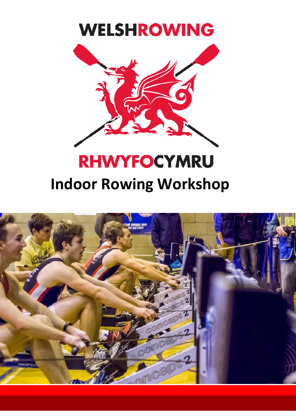

# **Indoor Rowing Workshop**

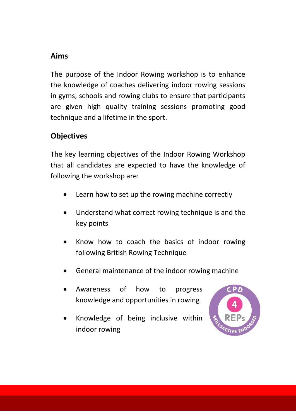### **Aims**

The purpose of the Indoor Rowing workshop is to enhance the knowledge of coaches delivering indoor rowing sessions in gyms, schools and rowing clubs to ensure that participants are given high quality training sessions promoting good technique and a lifetime in the sport.

## **Objectives**

The key learning objectives of the Indoor Rowing Workshop that all candidates are expected to have the knowledge of following the workshop are:

- Learn how to set up the rowing machine correctly
- Understand what correct rowing technique is and the key points
- Know how to coach the basics of indoor rowing following British Rowing Technique
- General maintenance of the indoor rowing machine
- Awareness of how to progress knowledge and opportunities in rowing
- Knowledge of being inclusive within indoor rowing

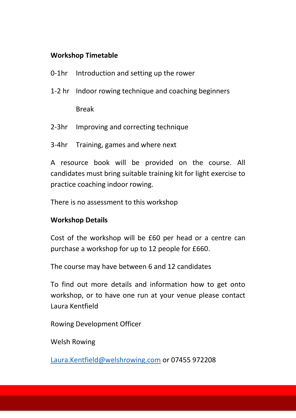#### **Workshop Timetable**

- 0-1hr Introduction and setting up the rower
- 1-2 hr Indoor rowing technique and coaching beginners

Break

- 2-3hr Improving and correcting technique
- 3-4hr Training, games and where next

A resource book will be provided on the course. All candidates must bring suitable training kit for light exercise to practice coaching indoor rowing.

There is no assessment to this workshop

#### **Workshop Details**

Cost of the workshop will be £60 per head or a centre can purchase a workshop for up to 12 people for £660.

The course may have between 6 and 12 candidates

To find out more details and information how to get onto workshop, or to have one run at your venue please contact Laura Kentfield

Rowing Development Officer

Welsh Rowing

[Laura.Kentfield@welshrowing.com](mailto:Laura.Kentfield@welshrowing.com) or 07455 972208